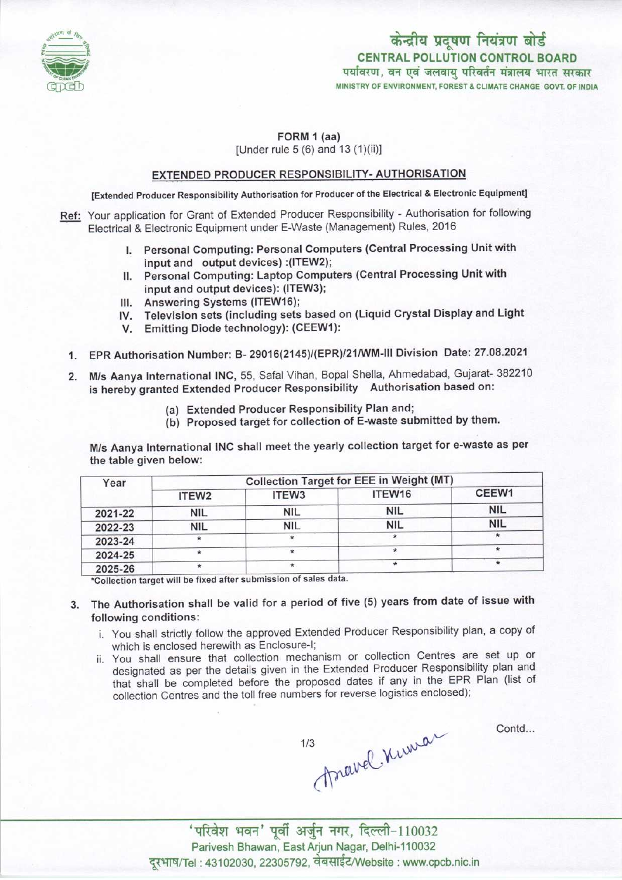

केन्द्रीय प्रदूषण नियंत्रण बोर्ड CENTRAL POLLUTION CONTROL BOARD<br>पर्यावरण, वन एवं जलवाय परिवर्तन मंत्रालय भारत सरकार MINISTRY OF ENVIRONMENT, FOREST & CLIMATE CHANGE GOVT. OF INDIA

## FORM 1 (aa)

[Under rule 5 (6) and 13 (1)(ii)]

## EXTENDED PRODUCER RESPONSIBILITY- AUTHORISATION

[Extended Producer Responsibility Authorisation for Producer of the Electrical & Electronic Equipment]

- Ref: Your application for Grant of Extended Producer Responsibility Authorisation for following Electrical & Electronic Equipment under E-Waste (Management) Rules, 2016
	- I. Personal Computing: Personal Computers (Central Processing Unit with input and output devices) :(1TEW2);
	- II. Personal Computing: Laptop Computers (Central Processing Unit with input and output devices): (ITEW3);
	- III. Answering Systems (ITEW16);
	- III. Answering Systems (ITEW16);<br>IV. Television sets (including sets based on (Liquid Crystal Display and Light V. Television sets (including sets based<br>V. Emitting Diode technology): (CEEW1):
	-
	- 1.EPR Authorisation Number: B- 29016(2145)/(EPR)/21/WM-lll Division Date: 27.08.2021
	- 2.M/s Aanya International INC, 55, Safal Vihan, Bopal Sheila, Ahmedabad, Gujarat- <sup>382210</sup> is hereby granted Extended Producer Responsibility Authorisation based on:
		- (a)Extended Producer Responsibility Plan and;
		- (b) Proposed target for collection of E-waste submitted by them.

M/s Aanya International INC shall meet the yearly collection target for e-waste as per the table given below:

| Year    | Collection Target for EEE in Weight (MT) |                   |            |            |
|---------|------------------------------------------|-------------------|------------|------------|
|         | ITEW <sub>2</sub>                        | ITEW <sub>3</sub> | ITEW16     | CEEW1      |
| 2021-22 | NIL                                      | <b>NIL</b>        | <b>NIL</b> | <b>NIL</b> |
| 2022-23 | <b>NIL</b>                               | NIL               | <b>NIL</b> | <b>NIL</b> |
| 2023-24 |                                          |                   | $\star$    |            |
| 2024-25 |                                          | ×                 |            |            |
| 2025-26 |                                          | $\star$           |            |            |

'Collection target will be fixed aftersubmission ofsales data.

- 3. The Authorisation shall be valid for a period of five (5) years from date of issue with following conditions:
	- i. You shall strictly follow the approved Extended Producer Responsibility plan, a copy of which is enclosed herewith as Enclosure-I;
	- ii. You shall ensure that collection mechanism or collection Centres are set up or designated as per the details given in the Extended Producer Responsibility plan and that shall be completed before the proposed dates if any in the EPR Plan (list of collection Centres and the toll free numbers for reverse logistics enclosed);

Contd...

march Kiman  $1/3$ 

' परिवेश भवन' पूर्वी अर्जुन नगर, दिल्ली-110032 Parivesh Bhawan, EastArjun Nagar, Delhi-110032 दुरभाष/Tel : 43102030, 22305792, वेबसाईट/Website : www.cpcb.nic.in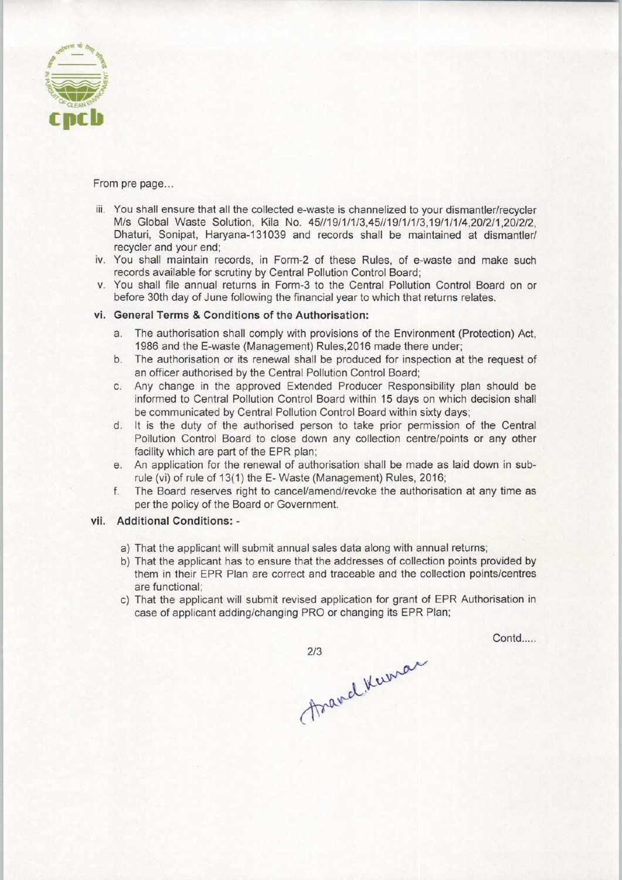

From pre page...

- iii. You shall ensure that all the collected e-waste is channelized to your dismantler/recycler M/s Global Waste Solution, Kila No. 45//19/1/1/3.45//19/1/1/3,19/1/1/4,20/2/1,20/2/2, Dhaturi, Sonipat, Haryana-131039 and records shall be maintained at dismantler/ recycler and your end;
- iv. You shall maintain records, in Form-2 of these Rules, of e-waste and make such records available for scrutiny by Central Pollution Control Board;
- v. You shall file annual returns in Form-3 to the Central Pollution Control Board on or before 30th day of June following the financial year to which that returns relates.

## vi. General Terms & Conditions of the Authorisation:

- a.The authorisation shall comply with provisions of the Environment (Protection) Act, 1986 and the E-waste (Management) Rules,2016 made there under;
- b. The authorisation or its renewal shall be produced for inspection at the request of an officer authorised by the Central Pollution Control Board;
- c.Any change in the approved Extended Producer Responsibility plan should be informed to Central Pollution Control Board within 15 days on which decision shall be communicated by Central Pollution Control Board within sixty days;
- d.It is the duty of the authorised person to take prior permission of the Central Pollution Control Board to close down any collection centre/points or any other facility which are part of the EPR plan;
- e.An application for the renewal of authorisation shall be made aslaid down in subrule (vi) of rule of 13(1) the E- Waste (Management) Rules, 2016;
- f. The Board reserves right to cancel/amend/revoke the authorisation at any time as per the policy of the Board or Government.

## vii. Additional Conditions: -

- a)That the applicant will submit annual sales data along with annual returns;
- b) That the applicant has to ensure that the addresses of collection points provided by them in their EPR Plan are correct and traceable and the collection points/centres are functional;
- c) That the applicant will submit revised application for grant of EPR Authorisation in case of applicant adding/changing PRO or changing its EPR Plan;

**Contd** 

Asand Kuman